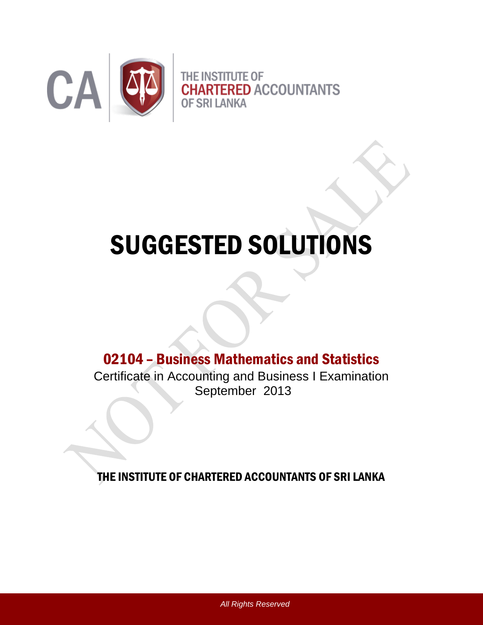

# SUGGESTED SOLUTIONS

# 02104 – Business Mathematics and Statistics

Certificate in Accounting and Business I Examination September 2013

THE INSTITUTE OF CHARTERED ACCOUNTANTS OF SRI LANKA

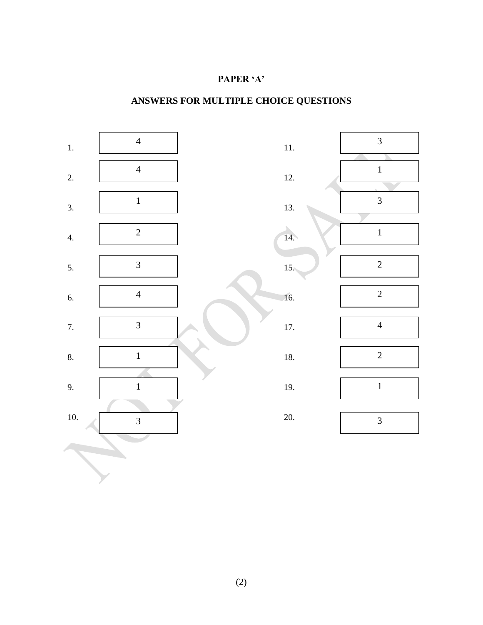### **PAPER 'A'**

# **ANSWERS FOR MULTIPLE CHOICE QUESTIONS**

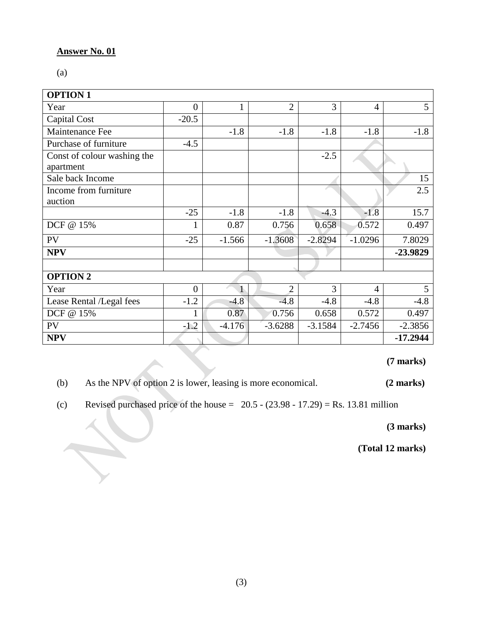#### **Answer No. 01**

H.

(a)

| <b>OPTION 1</b>                          |                |          |                |           |                |            |
|------------------------------------------|----------------|----------|----------------|-----------|----------------|------------|
| Year                                     | $\overline{0}$ | 1        | $\overline{2}$ | 3         | $\overline{4}$ | 5          |
| Capital Cost                             | $-20.5$        |          |                |           |                |            |
| Maintenance Fee                          |                | $-1.8$   | $-1.8$         | $-1.8$    | $-1.8$         | $-1.8$     |
| Purchase of furniture                    | $-4.5$         |          |                |           |                |            |
| Const of colour washing the<br>apartment |                |          |                | $-2.5$    |                |            |
| Sale back Income                         |                |          |                |           |                | 15         |
| Income from furniture                    |                |          |                |           |                | 2.5        |
| auction                                  |                |          |                |           |                |            |
|                                          | $-25$          | $-1.8$   | $-1.8$         | $-4.3$    | $-1.8$         | 15.7       |
| DCF @ 15%                                | 1              | 0.87     | 0.756          | 0.658     | 0.572          | 0.497      |
| <b>PV</b>                                | $-25$          | $-1.566$ | $-1.3608$      | $-2.8294$ | $-1.0296$      | 7.8029     |
| <b>NPV</b>                               |                |          |                |           |                | -23.9829   |
|                                          |                |          |                |           |                |            |
| <b>OPTION 2</b>                          |                |          |                |           |                |            |
| Year                                     | $\overline{0}$ |          | $\mathfrak{D}$ | 3         | $\overline{4}$ | 5          |
| Lease Rental /Legal fees                 | $-1.2$         | $-4.8$   | $-4.8$         | $-4.8$    | $-4.8$         | $-4.8$     |
| DCF @ 15%                                | 1              | 0.87     | 0.756          | 0.658     | 0.572          | 0.497      |
| <b>PV</b>                                | $-1.2$         | $-4.176$ | $-3.6288$      | $-3.1584$ | $-2.7456$      | $-2.3856$  |
| <b>NPV</b>                               |                |          |                |           |                | $-17.2944$ |

**(7 marks)**

(b) As the NPV of option 2 is lower, leasing is more economical. **(2 marks)**

(c) Revised purchased price of the house =  $20.5 - (23.98 - 17.29) = \text{Rs. } 13.81 \text{ million}$ 

**(3 marks)**

**(Total 12 marks)**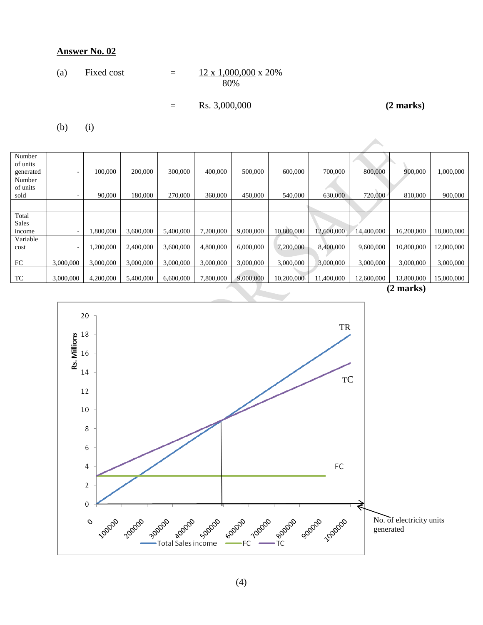#### **Answer No. 02**

(a) Fixed cost 
$$
= \frac{12 \times 1,000,000}{80\%} \times 20\%
$$

$$
= \text{Rs. } 3,000,000 \qquad (2 \text{ marks})
$$

(b) (i)

|                                 |           |           |           |           |           |           |            |            |            | $(2 \text{ model})$ |            |
|---------------------------------|-----------|-----------|-----------|-----------|-----------|-----------|------------|------------|------------|---------------------|------------|
| TC                              | 3,000,000 | 4,200,000 | 5,400,000 | 6,600,000 | 7,800,000 | 9,000,000 | 10,200,000 | 11,400,000 | 12,600,000 | 13,800,000          | 15,000,000 |
| FC                              | 3,000,000 | 3,000,000 | 3,000,000 | 3,000,000 | 3,000,000 | 3,000,000 | 3,000,000  | 3,000,000  | 3,000,000  | 3,000,000           | 3,000,000  |
| Variable<br>cost                |           | 0.200,000 | 2,400,000 | 3,600,000 | 4,800,000 | 6,000,000 | 7,200,000  | 8,400,000  | 9,600,000  | 10,800,000          | 12,000,000 |
| Sales<br>income                 |           | 0.800,000 | 3,600,000 | 5,400,000 | 7,200,000 | 9,000,000 | 10,800,000 | 12,600,000 | 14,400,000 | 16,200,000          | 18,000,000 |
| Total                           |           |           |           |           |           |           |            |            |            |                     |            |
|                                 |           |           |           |           |           |           |            |            |            |                     |            |
| Number<br>of units<br>sold      |           | 90,000    | 180,000   | 270,000   | 360,000   | 450,000   | 540,000    | 630,000    | 720,000    | 810,000             | 900,000    |
| Number<br>of units<br>generated |           | 100,000   | 200,000   | 300,000   | 400,000   | 500,000   | 600,000    | 700,000    | 800,000    | 900,000             | 1,000,000  |
|                                 |           |           |           |           |           |           |            |            |            |                     |            |

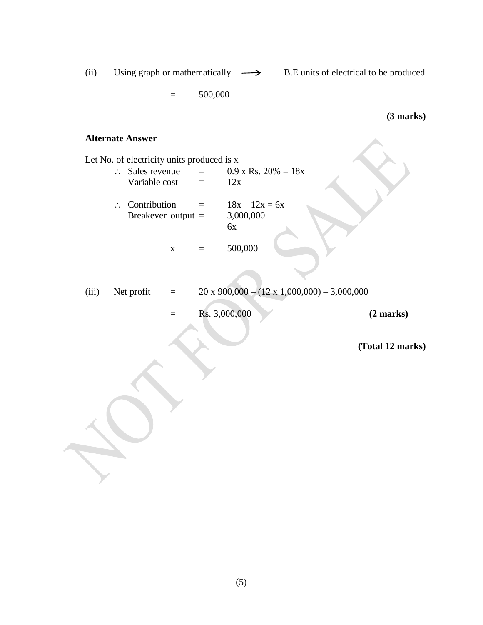(ii) Using graph or mathematically  $\longrightarrow$  B.E units of electrical to be produced  $= 500,000$ **(3 marks) Alternate Answer** Let No. of electricity units produced is x  $\therefore$  Sales revenue = 0.9 x Rs. 20% = 18x Variable cost  $=$  12x  $\therefore$  Contribution =  $18x - 12x = 6x$ <br>Breakeven output =  $\frac{3,000,000}{}$ Breakeven output  $=$ 6x  $x = 500,000$ (iii) Net profit  $= 20 \times 900,000 - (12 \times 1,000,000) - 3,000,000$ = Rs. 3,000,000 **(2 marks) (Total 12 marks)**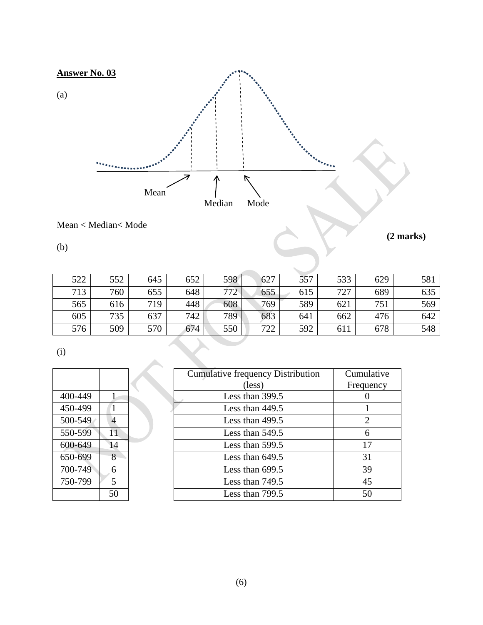

## Mean < Median< Mode

(b)

**(2 marks)**

| 522 | 552 | 645 | 652 | 598 | 627 | 557 | 533 | 629 | 581 |
|-----|-----|-----|-----|-----|-----|-----|-----|-----|-----|
| 713 | 760 | 655 | 648 | 772 | 655 | 615 | 727 | 689 | 635 |
| 565 | 616 | 719 | 448 | 608 | 769 | 589 | 621 | 751 | 569 |
| 605 | 735 | 637 | 742 | 789 | 683 | 641 | 662 | 476 | 642 |
| 576 | 509 | 570 | 674 | 550 | 722 | 592 | 611 | 678 | 548 |
|     |     |     |     |     |     |     |     |     |     |

(i)

| 400-449 | 1  |  |
|---------|----|--|
| 450-499 | 1  |  |
| 500-549 | 4  |  |
| 550-599 | 11 |  |
| 600-649 | 14 |  |
| 650-699 | 8  |  |
| 700-749 | 6  |  |
| 750-799 | 5  |  |
|         | 50 |  |

|         |    | <b>Cumulative frequency Distribution</b> | Cumulative |
|---------|----|------------------------------------------|------------|
|         |    | (less)                                   | Frequency  |
| 400-449 |    | Less than 399.5                          |            |
| 450-499 |    | Less than 449.5                          |            |
| 500-549 | 4  | Less than $499.5$                        | 2          |
| 550-599 | 11 | Less than 549.5                          | 6          |
| 600-649 | 14 | Less than 599.5                          | 17         |
| 650-699 | 8  | Less than $649.5$                        | 31         |
| 700-749 | 6  | Less than 699.5                          | 39         |
| 750-799 | 5  | Less than 749.5                          | 45         |
|         | 50 | Less than 799.5                          | 50         |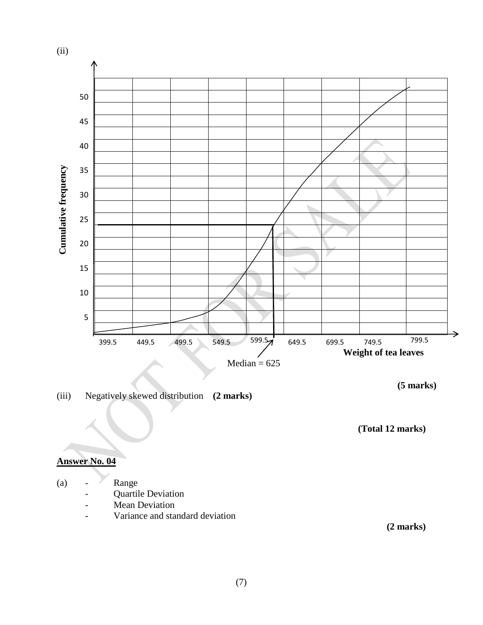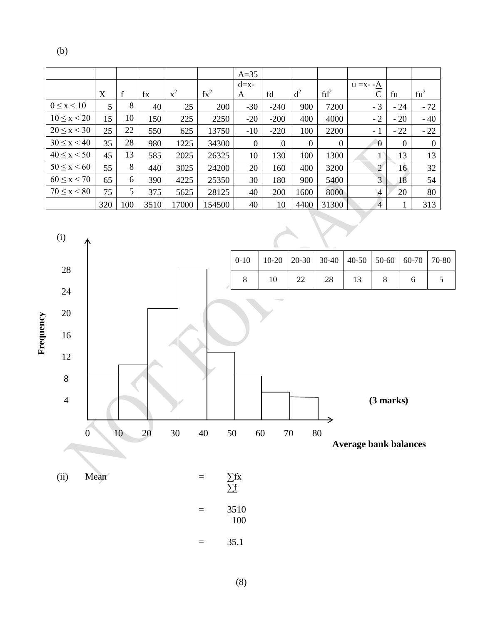(b)

|                    |     |             |      |       |               | $A=35$       |          |                  |                  |                |                  |          |
|--------------------|-----|-------------|------|-------|---------------|--------------|----------|------------------|------------------|----------------|------------------|----------|
|                    |     |             |      |       |               | $d=x-$       |          |                  |                  | $u = x - A$    |                  |          |
|                    | X   | $\mathbf f$ | fx   | $x^2$ | $\text{fx}^2$ | A            | fd       | d <sup>2</sup>   | fd <sup>2</sup>  |                | fu               | $fu^2$   |
| $0 \leq x \leq 10$ | 5   | 8           | 40   | 25    | 200           | $-30$        | $-240$   | 900              | 7200             | $-3$           | $-24$            | $-72$    |
| $10 \le x < 20$    | 15  | 10          | 150  | 225   | 2250          | $-20$        | $-200$   | 400              | 4000             | $-2$           | $-20$            | $-40$    |
| $20 \le x < 30$    | 25  | 22          | 550  | 625   | 13750         | $-10$        | $-220$   | 100              | 2200             | - 1            | $-22$            | $-22$    |
| $30 \le x \le 40$  | 35  | 28          | 980  | 1225  | 34300         | $\mathbf{0}$ | $\theta$ | $\boldsymbol{0}$ | $\boldsymbol{0}$ | $\overline{0}$ | $\boldsymbol{0}$ | $\theta$ |
| $40 \le x \le 50$  | 45  | 13          | 585  | 2025  | 26325         | 10           | 130      | 100              | 1300             |                | 13               | 13       |
| $50 \le x \le 60$  | 55  | 8           | 440  | 3025  | 24200         | 20           | 160      | 400              | 3200             | $\overline{2}$ | 16               | 32       |
| $60 \le x \le 70$  | 65  | 6           | 390  | 4225  | 25350         | 30           | 180      | 900              | 5400             | 3              | 18               | 54       |
| $70 \le x \le 80$  | 75  | 5           | 375  | 5625  | 28125         | 40           | 200      | 1600             | 8000             | $\sqrt{4}$     | 20               | 80       |
|                    | 320 | 100         | 3510 | 17000 | 154500        | 40           | 10       | 4400             | 31300            | $\overline{4}$ |                  | 313      |



(8)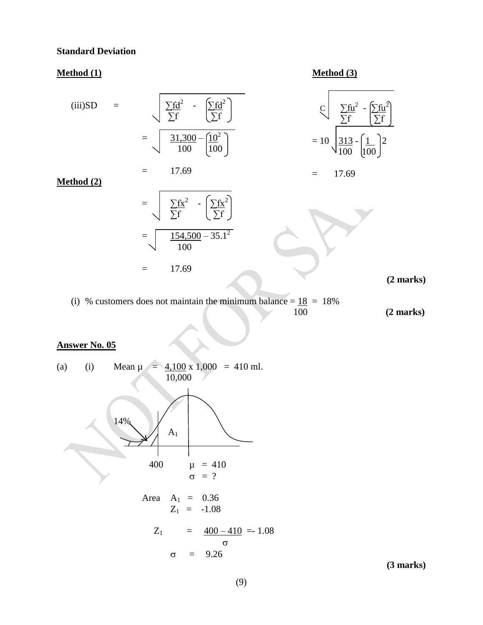#### **Standard Deviation**

### **Method (1) Method (3)**

(iii)SD = 
$$
\frac{\sum fd^2}{\sum f} - \frac{\sum fd^2}{\sum f} = \frac{\sum fd^2}{\sum f} - \frac{\sum fd^2}{\sum f} = 10 \sqrt{\frac{313}{100} - \frac{1}{100}^2}
$$
  
= 
$$
17.69
$$
  
= 
$$
\sqrt{\frac{\sum fx^2}{\sum f} - \frac{\sum fx^2}{\sum f}} = \frac{17.69}{100}
$$
  
= 
$$
\sqrt{\frac{154,500 - 35.1^2}{100}} = 17.69
$$
  
= 17.69 (2 marks)

(i) % customers does not maintain the minimum balance =  $\frac{18}{100}$  = 18%

100 **(2 marks)**

# **Answer No. 05**

(a) (i) Mean 
$$
\mu = \frac{4,100 \times 1,000}{10,000} = 410 \text{ ml.}
$$
  
\n  
\n $14\%$   
\n $400$   $\mu = 410$   
\n $\sigma = ?$   
\nArea  $A_1 = 0.36$   
\n $Z_1 = -1.08$   
\n $Z_1 = \frac{400 - 410}{5} = 1.08$   
\n $\sigma = 9.26$ 

**(3 marks)**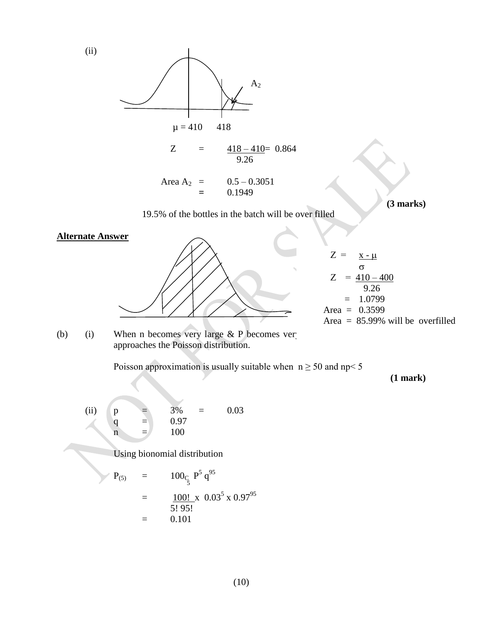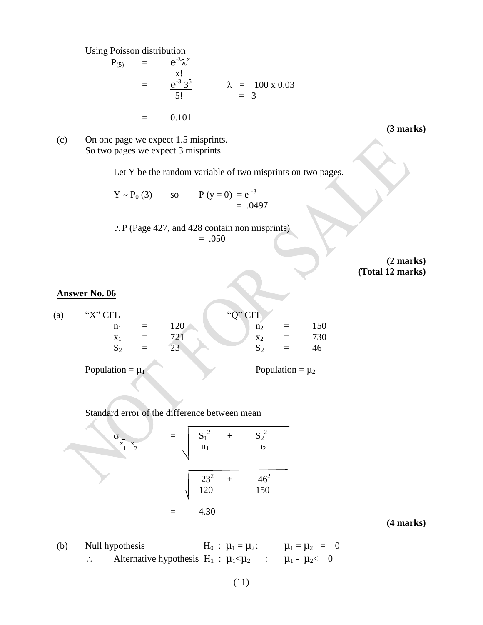Using Poisson distribution

$$
P_{(5)} = \frac{e^{-\lambda} \lambda^{x}}{x!}
$$
  
=  $\frac{e^{-3} 3^{5}}{5!}$   $\lambda = 100 \times 0.03$   
= 0.101

**(3 marks)**

(c) On one page we expect 1.5 misprints. So two pages we expect 3 misprints

Let Y be the random variable of two misprints on two pages.

$$
Y \sim P_0 (3) \qquad \text{so} \qquad P (y = 0) = e^{-3} = .0497
$$

 $\therefore$  P (Page 427, and 428 contain non misprints)  $=.050$ 

> **(2 marks) (Total 12 marks)**

#### **Answer No. 06**

| (a) | "X" CFL        |     |                 | " $Q$ " CFL             |     |     |
|-----|----------------|-----|-----------------|-------------------------|-----|-----|
|     | n <sub>1</sub> |     | ⊥∠∪             | n <sub>2</sub>          | $=$ | 150 |
|     | X              | $=$ | 70              | $x_2$                   | $=$ |     |
|     | ົ<br>ÞΓ<br>∸   | $=$ | $\bigcap$<br>رے | $\sim$<br>$\Omega$<br>∽ | —   |     |
|     |                |     |                 |                         |     |     |

Population =  $\mu_1$  Population =  $\mu_2$ 

Standard error of the difference between mean

$$
\sigma_{\frac{x}{1} - x_2} = \sqrt{\frac{S_1^2}{n_1} + \frac{S_2^2}{n_2}}
$$
  
= 
$$
\sqrt{\frac{23^2}{120} + \frac{46^2}{150}}
$$
  
= 4.30

**(4 marks)**

(b) Null hypothesis  $H_0: \mu_1 = \mu_2: \mu_1 = \mu_2 = 0$  $\therefore$  Alternative hypothesis H<sub>1</sub> :  $\mu_1 < \mu_2$  :  $\mu_1 - \mu_2 < 0$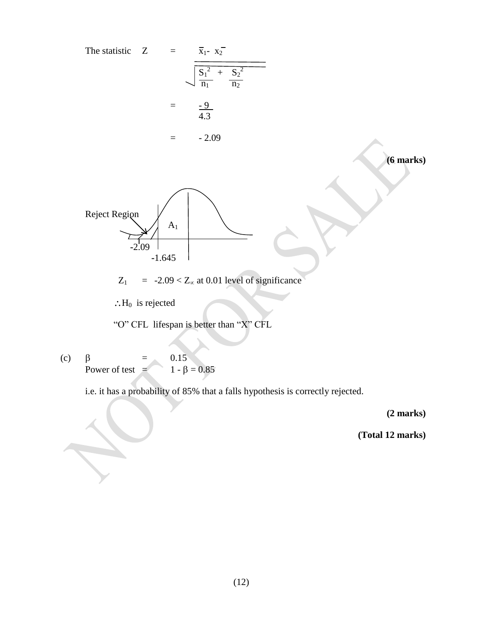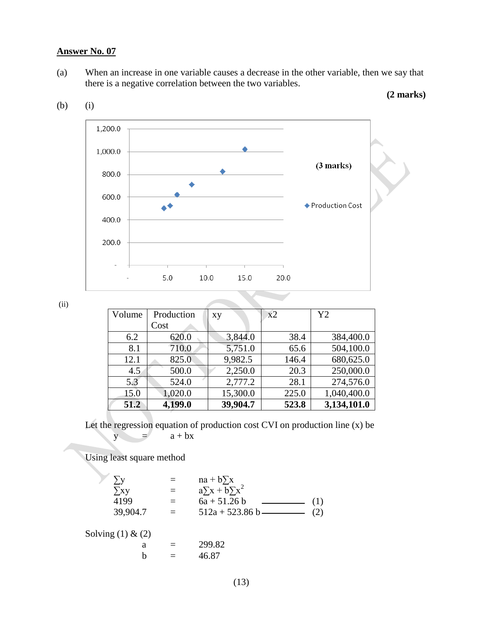#### **Answer No. 07**

(a) When an increase in one variable causes a decrease in the other variable, then we say that there is a negative correlation between the two variables.

|  | $(2 \text{ marks})$ |
|--|---------------------|
|--|---------------------|



(b) (i)

|  | I<br>۰, |
|--|---------|

| Volume | Production | XV       | x2    | Y2          |
|--------|------------|----------|-------|-------------|
|        | Cost       |          |       |             |
| 6.2    | 620.0      | 3,844.0  | 38.4  | 384,400.0   |
| 8.1    | 710.0      | 5,751.0  | 65.6  | 504,100.0   |
| 12.1   | 825.0      | 9,982.5  | 146.4 | 680,625.0   |
| 4.5    | 500.0      | 2,250.0  | 20.3  | 250,000.0   |
| 5.3    | 524.0      | 2,777.2  | 28.1  | 274,576.0   |
| 15.0   | 1,020.0    | 15,300.0 | 225.0 | 1,040,400.0 |
| 51.2   | 4,199.0    | 39,904.7 | 523.8 | 3,134,101.0 |

Let the regression equation of production cost CVI on production line (x) be  $y = a + bx$ 

Using least square method

 $\sum y$  = na + b $\sum x$ <br>  $\sum xy$  = a $\sum x + b \sum$  $\sum xy = a \sum x + b \sum x^2$ 4199  $= 6a + 51.26 b$  (1) 39,904.7 =  $512a + 523.86 b$  (2) Solving  $(1)$  &  $(2)$ a  $=$  299.82 b  $=$  46.87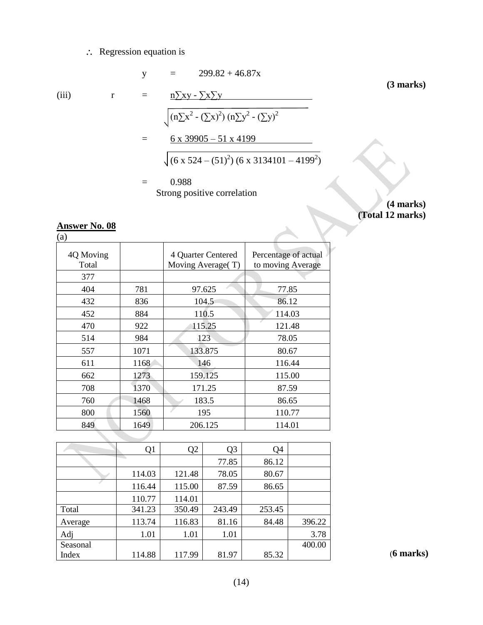### $\therefore$  Regression equation is

(iii) 
$$
r = \frac{n \sum xy - \sum x \sum y}{(n \sum x^2 - (\sum x)^2)(n \sum y^2 - (\sum y)^2)}
$$
  
\n $= \frac{6 \times 39905 - 51 \times 4199}{(6 \times 524 - (51)^2)(6 \times 3134101 - 4199^2)}$   
\n $= 0.988$   
\nStrong positive correlation

**(4 marks) (Total 12 marks)**

#### **Answer No. 08**

(a)

| 4Q Moving<br>Total |      | 4 Quarter Centered<br>Moving Average (T) | Percentage of actual<br>to moving Average |
|--------------------|------|------------------------------------------|-------------------------------------------|
| 377                |      |                                          |                                           |
| 404                | 781  | 97.625                                   | 77.85                                     |
| 432                | 836  | 104.5                                    | 86.12                                     |
| 452                | 884  | 110.5                                    | 114.03                                    |
| 470                | 922  | 115.25                                   | 121.48                                    |
| 514                | 984  | 123                                      | 78.05                                     |
| 557                | 1071 | 133.875                                  | 80.67                                     |
| 611                | 1168 | 146                                      | 116.44                                    |
| 662                | 1273 | 159.125                                  | 115.00                                    |
| 708                | 1370 | 171.25                                   | 87.59                                     |
| 760                | 1468 | 183.5                                    | 86.65                                     |
| 800                | 1560 | 195                                      | 110.77                                    |
| 849                | 1649 | 206.125                                  | 114.01                                    |

|          | Q <sub>1</sub> | Q <sub>2</sub> | Q <sub>3</sub> | Q <sub>4</sub> |        |
|----------|----------------|----------------|----------------|----------------|--------|
|          |                |                | 77.85          | 86.12          |        |
|          | 114.03         | 121.48         | 78.05          | 80.67          |        |
|          | 116.44         | 115.00         | 87.59          | 86.65          |        |
|          | 110.77         | 114.01         |                |                |        |
| Total    | 341.23         | 350.49         | 243.49         | 253.45         |        |
| Average  | 113.74         | 116.83         | 81.16          | 84.48          | 396.22 |
| Adj      | 1.01           | 1.01           | 1.01           |                | 3.78   |
| Seasonal |                |                |                |                | 400.00 |
| Index    | 114.88         | 117.99         | 81.97          | 85.32          |        |

(**6 marks)**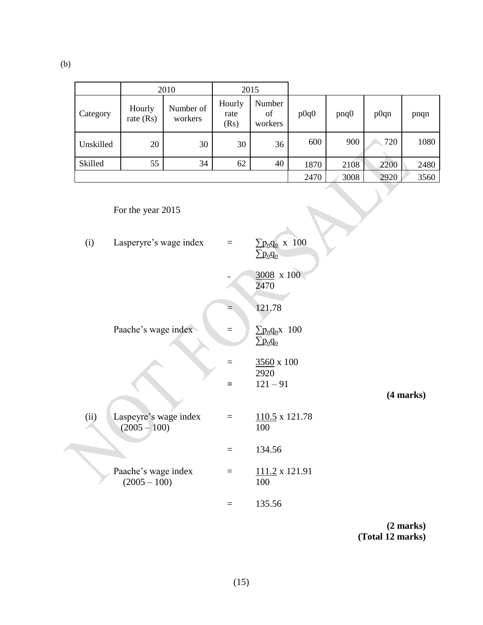(b)

|           |                       | 2010                 | 2015                   |                         |      |              |      |      |
|-----------|-----------------------|----------------------|------------------------|-------------------------|------|--------------|------|------|
| Category  | Hourly<br>rate $(Rs)$ | Number of<br>workers | Hourly<br>rate<br>(Rs) | Number<br>of<br>workers | p0q0 | $p \nvert q$ | p0qn | pnqn |
| Unskilled | 20                    | 30                   | 30                     | 36                      | 600  | 900          | 720  | 1080 |
| Skilled   | 55                    | 34                   | 62                     | 40                      | 1870 | 2108         | 2200 | 2480 |
|           |                       |                      |                        |                         | 2470 | 3008         | 2920 | 3560 |

# For the year 2015

| Lasperyre's wage index<br>(i)                   | $=$      | $\sum p_n q_o$ x 100<br>$\Sigma$ p <sub>o</sub> q <sub>o</sub>       |           |
|-------------------------------------------------|----------|----------------------------------------------------------------------|-----------|
|                                                 | $=$      | $3008 \times 100$<br>2470                                            |           |
|                                                 |          | 121.78                                                               |           |
| Paache's wage index                             | $=$      | $\sum p_{n}q_{n}x$ 100<br>$\sum p_{\underline{o}} q_{\underline{o}}$ |           |
|                                                 |          | 3560 x 100<br>2920                                                   |           |
|                                                 | $=$      | $121 - 91$                                                           | (4 marks) |
| (ii)<br>Laspeyre's wage index<br>$(2005 - 100)$ | $\equiv$ | $110.5 \times 121.78$<br>100                                         |           |
|                                                 | $\equiv$ | 134.56                                                               |           |
| Paache's wage index<br>$(2005 - 100)$           | $\equiv$ | 111.2 x 121.91<br>100                                                |           |
|                                                 | $\equiv$ | 135.56                                                               |           |

**(2 marks) (Total 12 marks)**